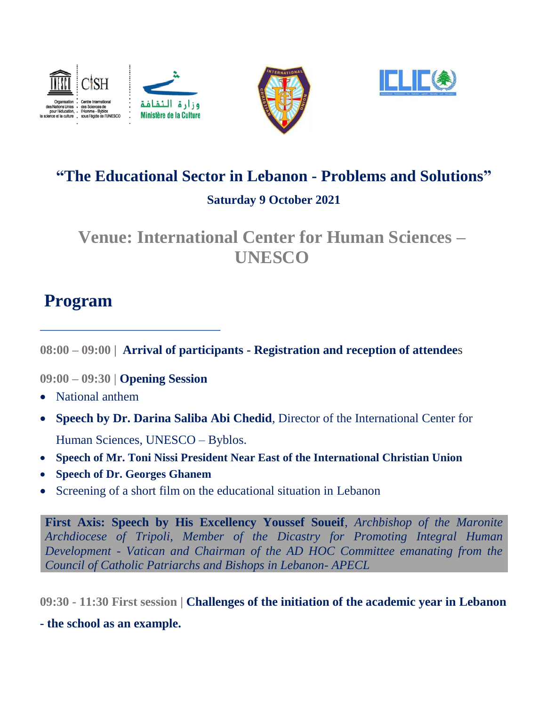





## **"The Educational Sector in Lebanon - Problems and Solutions" Saturday 9 October 2021**

## **Venue: International Center for Human Sciences – UNESCO**

# **Program**

**08:00 – 09:00 | Arrival of participants - Registration and reception of attendee**s

**09:00 – 09:30 | Opening Session**

- National anthem
- **Speech by Dr. Darina Saliba Abi Chedid**, Director of the International Center for Human Sciences, UNESCO – Byblos.
- **Speech of Mr. Toni Nissi President Near East of the International Christian Union**
- **Speech of Dr. Georges Ghanem**
- Screening of a short film on the educational situation in Lebanon

**First Axis: Speech by His Excellency Youssef Soueif**, *Archbishop of the Maronite Archdiocese of Tripoli, Member of the Dicastry for Promoting Integral Human Development - Vatican and Chairman of the AD HOC Committee emanating from the Council of Catholic Patriarchs and Bishops in Lebanon- APECL*

**09:30 - 11:30 First session | Challenges of the initiation of the academic year in Lebanon** 

**- the school as an example.**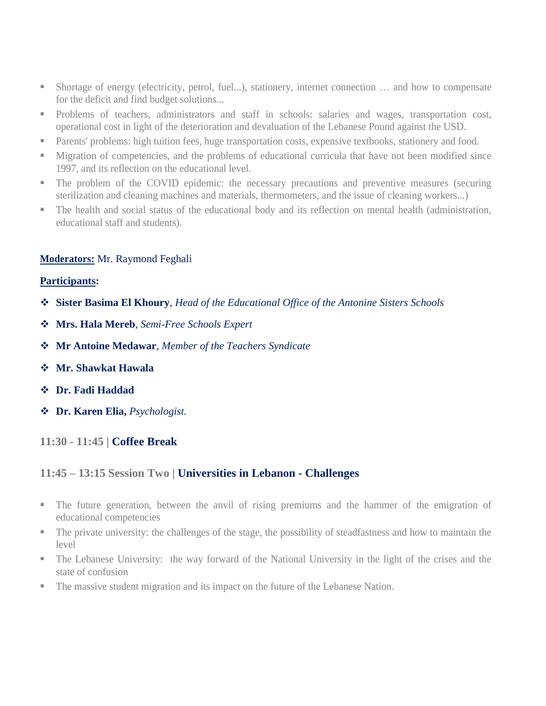- Shortage of energy (electricity, petrol, fuel...), stationery, internet connection ... and how to compensate for the deficit and find budget solutions...
- Problems of teachers, administrators and staff in schools: salaries and wages, transportation cost, operational cost in light of the deterioration and devaluation of the Lebanese Pound against the USD.
- **Parents' problems: high tuition fees, huge transportation costs, expensive textbooks, stationery and food.**
- **Migration of competencies, and the problems of educational curricula that have not been modified since** 1997, and its reflection on the educational level.
- The problem of the COVID epidemic: the necessary precautions and preventive measures (securing sterilization and cleaning machines and materials, thermometers, and the issue of cleaning workers...)
- The health and social status of the educational body and its reflection on mental health (administration, educational staff and students).

#### **Moderators:** Mr. Raymond Feghali

#### **Participants:**

- **Sister Basima El Khoury**, *Head of the Educational Office of the Antonine Sisters Schools*
- **Mrs. Hala Mereb**, *Semi-Free Schools Expert*
- **Mr Antoine Medawar**, *Member of the Teachers Syndicate*
- **Mr. Shawkat Hawala**
- **Dr. Fadi Haddad**
- **Dr. Karen Elia,** *Psychologist.*

**11:30 - 11:45 | Coffee Break**

## **11:45 – 13:15 Session Two | Universities in Lebanon - Challenges**

- The future generation, between the anvil of rising premiums and the hammer of the emigration of educational competencies
- The private university: the challenges of the stage, the possibility of steadfastness and how to maintain the level
- The Lebanese University: the way forward of the National University in the light of the crises and the state of confusion
- The massive student migration and its impact on the future of the Lebanese Nation.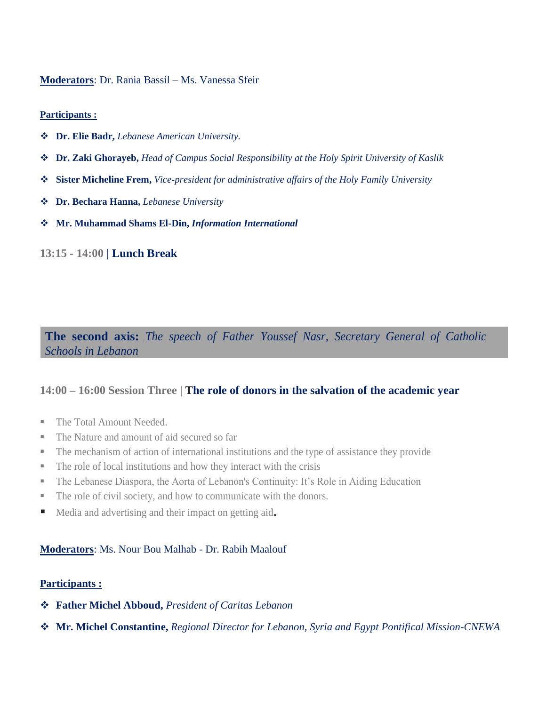#### **Moderators**: Dr. Rania Bassil – Ms. Vanessa Sfeir

#### **Participants :**

- **Dr. Elie Badr,** *Lebanese American University.*
- **Dr. Zaki Ghorayeb,** *Head of Campus Social Responsibility at the Holy Spirit University of Kaslik*
- **Sister Micheline Frem,** *Vice-president for administrative affairs of the Holy Family University*
- **Dr. Bechara Hanna,** *Lebanese University*
- **Mr. Muhammad Shams El-Din,** *Information International*

#### **13:15 - 14:00 | Lunch Break**

**The second axis:** *The speech of Father Youssef Nasr, Secretary General of Catholic Schools in Lebanon*

## **14:00 – 16:00 Session Three | The role of donors in the salvation of the academic year**

- The Total Amount Needed.
- The Nature and amount of aid secured so far
- The mechanism of action of international institutions and the type of assistance they provide
- The role of local institutions and how they interact with the crisis
- The Lebanese Diaspora, the Aorta of Lebanon's Continuity: It's Role in Aiding Education
- The role of civil society, and how to communicate with the donors.
- Media and advertising and their impact on getting aid**.**

## **Moderators**: Ms. Nour Bou Malhab - Dr. Rabih Maalouf

#### **Participants :**

- **Father Michel Abboud,** *President of Caritas Lebanon*
- **Mr. Michel Constantine,** *Regional Director for Lebanon, Syria and Egypt Pontifical Mission-CNEWA*